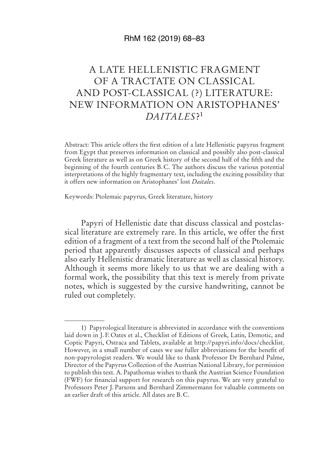## RhM 162 (2019) 68–83

## A LATE HELLENISTIC FRAGMENT OF A TRACTATE ON CLASSICAL AND POST-CLASSICAL (?) LITERATURE: NEW INFORMATION ON ARISTOPHANES' *DAITALES*?<sup>1</sup>

Abstract: This article offers the first edition of a late Hellenistic papyrus fragment from Egypt that preserves information on classical and possibly also post-classical Greek literature as well as on Greek history of the second half of the fifth and the beginning of the fourth centuries B. C. The authors discuss the various potential interpretations of the highly fragmentary text, including the exciting possibility that it offers new information on Aristophanes' lost *Daitales*.

Keywords: Ptolemaic papyrus, Greek literature, history

Papyri of Hellenistic date that discuss classical and postclassical literature are extremely rare. In this article, we offer the first edition of a fragment of a text from the second half of the Ptolemaic period that apparently discusses aspects of classical and perhaps also early Hellenistic dramatic literature as well as classical history. Although it seems more likely to us that we are dealing with a formal work, the possibility that this text is merely from private notes, which is suggested by the cursive handwriting, cannot be ruled out completely.

<sup>1)</sup> Papyrological literature is abbreviated in accordance with the conventions laid down in J. F. Oates et al., Checklist of Editions of Greek, Latin, Demotic, and Coptic Papyri, Ostraca and Tablets, available at http://papyri.info / docs / checklist. However, in a small number of cases we use fuller abbreviations for the benefit of non-papyrologist readers. We would like to thank Professor Dr Bernhard Palme, Director of the Papyrus Collection of the Austrian National Library, for permission to publish this text. A. Papathomas wishes to thank the Austrian Science Foundation (FWF) for financial support for research on this papyrus. We are very grateful to Professors Peter J. Parsons and Bernhard Zimmermann for valuable comments on an earlier draft of this article. All dates are B. C.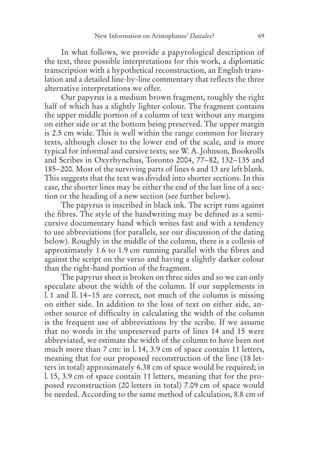In what follows, we provide a papyrological description of the text, three possible interpretations for this work, a diplomatic transcription with a hypothetical reconstruction, an English translation and a detailed line-by-line commentary that reflects the three alternative interpretations we offer.

Our papyrus is a medium brown fragment, roughly the right half of which has a slightly lighter colour. The fragment contains the upper middle portion of a column of text without any margins on either side or at the bottom being preserved. The upper margin is 2.5 cm wide. This is well within the range common for literary texts, although closer to the lower end of the scale, and is more typical for informal and cursive texts; see W. A. Johnson, Bookrolls and Scribes in Oxyrhynchus, Toronto 2004, 77-82, 132-135 and 185 – 200. Most of the surviving parts of lines 6 and 13 are left blank. This suggests that the text was divided into shorter sections. In this case, the shorter lines may be either the end of the last line of a section or the heading of a new section (see further below).

The papyrus is inscribed in black ink. The script runs against the fibres. The style of the handwriting may be defined as a semicursive documentary hand which writes fast and with a tendency to use abbreviations (for parallels, see our discussion of the dating below). Roughly in the middle of the column, there is a collesis of approximately 1.6 to 1.9 cm running parallel with the fibres and against the script on the verso and having a slightly darker colour than the right-hand portion of the fragment.

The papyrus sheet is broken on three sides and so we can only speculate about the width of the column. If our supplements in l. 1 and ll. 14 – 15 are correct, not much of the column is missing on either side. In addition to the loss of text on either side, another source of difficulty in calculating the width of the column is the frequent use of abbreviations by the scribe. If we assume that no words in the unpreserved parts of lines 14 and 15 were abbreviated, we estimate the width of the column to have been not much more than 7 cm: in l. 14, 3.9 cm of space contain 11 letters, meaning that for our proposed reconstruction of the line (18 letters in total) approximately 6.38 cm of space would be required; in l. 15, 3.9 cm of space contain 11 letters, meaning that for the proposed reconstruction (20 letters in total) 7.09 cm of space would be needed. According to the same method of calculation, 8.8 cm of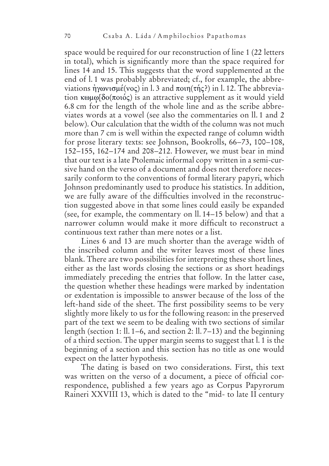space would be required for our reconstruction of line 1 (22 letters in total), which is significantly more than the space required for lines 14 and 15. This suggests that the word supplemented at the end of l.1 was probably abbreviated; cf., for example, the abbreviations ήγωνισμέ(νος) in l. 3 and ποιη (τής?) in l. 12. The abbreviation  $\kappa \omega \omega \delta \delta(\pi \omega \acute{\alpha})$  is an attractive supplement as it would yield 6.8 cm for the length of the whole line and as the scribe abbreviates words at a vowel (see also the commentaries on ll. 1 and 2 below). Our calculation that the width of the column was not much more than 7 cm is well within the expected range of column width for prose literary texts: see Johnson, Bookrolls, 66–73, 100–108, 152 – 155, 162 – 174 and 208 – 212. However, we must bear in mind that our text is a late Ptolemaic informal copy written in a semi-cursive hand on the verso of a document and does not therefore necessarily conform to the conventions of formal literary papyri, which Johnson predominantly used to produce his statistics. In addition, we are fully aware of the difficulties involved in the reconstruction suggested above in that some lines could easily be expanded (see, for example, the commentary on ll. 14 – 15 below) and that a narrower column would make it more difficult to reconstruct a continuous text rather than mere notes or a list.

Lines 6 and 13 are much shorter than the average width of the inscribed column and the writer leaves most of these lines blank. There are two possibilities for interpreting these short lines, either as the last words closing the sections or as short headings immediately preceding the entries that follow. In the latter case, the question whether these headings were marked by indentation or exdentation is impossible to answer because of the loss of the left-hand side of the sheet. The first possibility seems to be very slightly more likely to us for the following reason: in the preserved part of the text we seem to be dealing with two sections of similar length (section 1: ll. 1–6, and section 2: ll.  $7-13$ ) and the beginning of a third section. The upper margin seems to suggest that l. 1 is the beginning of a section and this section has no title as one would expect on the latter hypothesis.

The dating is based on two considerations. First, this text was written on the verso of a document, a piece of official correspondence, published a few years ago as Corpus Papyrorum Raineri XXVIII 13, which is dated to the "mid- to late II century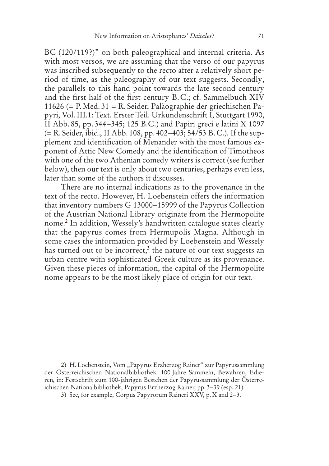BC (120/119?)" on both paleographical and internal criteria. As with most versos, we are assuming that the verso of our papyrus was inscribed subsequently to the recto after a relatively short period of time, as the paleography of our text suggests. Secondly, the parallels to this hand point towards the late second century and the first half of the first century B. C.; cf. Sammelbuch XIV 11626 (= P. Med. 31 = R. Seider, Paläographie der griechischen Papyri, Vol. III.1: Text. Erster Teil. Urkundenschrift I, Stuttgart 1990, II Abb. 85, pp. 344–345; 125 B.C.) and Papiri greci e latini X 1097  $(= R. Seider, ibid., II Abb. 108, pp. 402–403; 54/53 B.C.).$  If the supplement and identification of Menander with the most famous exponent of Attic New Comedy and the identification of Timotheos with one of the two Athenian comedy writers is correct (see further below), then our text is only about two centuries, perhaps even less, later than some of the authors it discusses.

There are no internal indications as to the provenance in the text of the recto. However, H. Loebenstein offers the information that inventory numbers G 13000–15999 of the Papyrus Collection of the Austrian National Library originate from the Hermopolite nome.2 In addition, Wessely's handwritten catalogue states clearly that the papyrus comes from Hermupolis Magna. Although in some cases the information provided by Loebenstein and Wessely has turned out to be incorrect,<sup>3</sup> the nature of our text suggests an urban centre with sophisticated Greek culture as its provenance. Given these pieces of information, the capital of the Hermopolite nome appears to be the most likely place of origin for our text.

<sup>2)</sup> H. Loebenstein, Vom "Papyrus Erzherzog Rainer" zur Papyrussammlung der Österreichischen Nationalbibliothek. 100 Jahre Sammeln, Bewahren, Edieren, in: Festschrift zum 100-jährigen Bestehen der Papyrussammlung der Österreichischen Nationalbibliothek, Papyrus Erzherzog Rainer, pp. 3-39 (esp. 21).

<sup>3)</sup> See, for example, Corpus Papyrorum Raineri XXV, p. X and 2-3.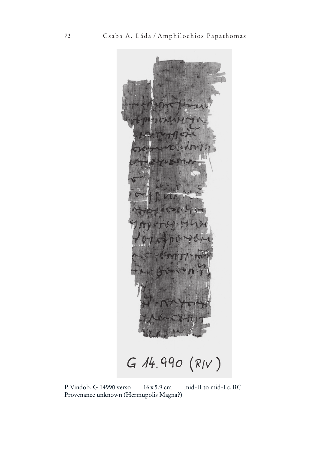$G$  14.990  $(R/V)$ 

P. Vindob. G 14990 verso 16 x 5.9 cm mid-II to mid-I c. BC Provenance unknown (Hermupolis Magna?)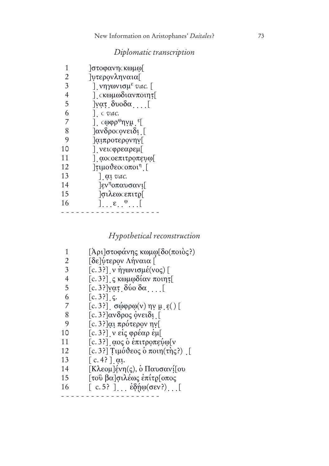## *Diplomatic transcription*

| 1              | ]στοφανη <b>ςκωμ</b> ω[                                   |
|----------------|-----------------------------------------------------------|
| 2              | <i>περονληναια</i> [                                      |
| $\overline{3}$ | νηγωνισμ <sup>ε</sup> <i>vac.</i> [                       |
| 4              | ] cκωμωδιανποιητ[                                         |
| 5              | $[\nabla \alpha \tau, \delta \nu \omega \delta \alpha]$ [ |
| 6              | $\vert$ . $\epsilon$ vac.                                 |
| 7              | ] $\alpha$ (φρ <sup>ω</sup> ηγμ <sup>ε</sup> [            |
| 8              | ]ανδρος ονειδι [                                          |
| 9              | ]αιπροτερονηγ[                                            |
| 10             | ] νειςφρεαρεμ[                                            |
| 11             | αοσοεπιτροπευω                                            |
| 12             | $\lceil$ τιμούεος οποι <sup>η</sup> [                     |
| 13             | $\int$ at vac.                                            |
| 14             | $\left[\epsilon v^\eta$ οπαυσανι $\right]$                |
| 15             | <i>σιλεως επιτρ</i>                                       |
| 16             | $\left[ \ldots \epsilon \ldots \epsilon \right]$          |
|                |                                                           |

*Hypothetical reconstruction*

| 1              | [Ἀρι]στοφάνης κωμφ[δο(ποιὸς?)                                    |
|----------------|------------------------------------------------------------------|
| 2              | [δε]ύτερον Λήναια [                                              |
| 3              | [c. 3?] ν ἠγωνισμέ(νος) [                                        |
| $\overline{4}$ | [c. 3?] $\zeta$ κωμωδίαν ποιητε                                  |
| 5              | [c. 3?] γατ δύο δα                                               |
| 6              | $[c.3?]$ c.                                                      |
| 7              | [c. 3?] σώφρω(v) ην μ ε() [                                      |
| 8              | [c. 3?]ανδρος όνειδι [                                           |
| 9              | [c. 3?]αι πρότερον ην[                                           |
| 10             | [c. 3?] ν είς φρέαρ έμ[                                          |
| 11             | [c.3?] αος ο επιτροπεύω[ν                                        |
| 12             | [c. 3?] Τιμόθεος ο ποιη(της?) [                                  |
| 13             | $\lceil c.4 \rceil$ at.                                          |
| 14             | [Κλεομ]ένη(ς), ὁ Παυσανί[ου                                      |
| 15             | [τοῦ βα]σιλέως ἐπίτρ[οπος                                        |
| 16             | [c.5?] $\epsilon \delta \hat{\eta} \varphi(\sigma \epsilon v^2)$ |
|                |                                                                  |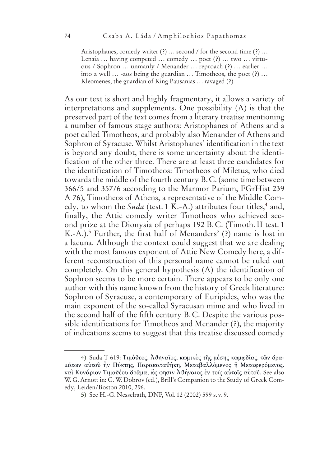Aristophanes, comedy writer (?) ... second / for the second time (?) ... Lenaia ... having competed ... comedy ... poet (?) ... two ... virtuous / Sophron ... unmanly / Menander ... reproach (?) ... earlier ... into a well  $\ldots$  -aos being the guardian  $\ldots$  Timotheos, the poet  $(?) \ldots$ Kleomenes, the guardian of King Pausanias ... ravaged (?)

As our text is short and highly fragmentary, it allows a variety of interpretations and supplements. One possibility (A) is that the preserved part of the text comes from a literary treatise mentioning a number of famous stage authors: Aristophanes of Athens and a poet called Timotheos, and probably also Menander of Athens and Sophron of Syracuse. Whilst Aristophanes' identification in the text is beyond any doubt, there is some uncertainty about the identification of the other three. There are at least three candidates for the identification of Timotheos: Timotheos of Miletus, who died towards the middle of the fourth century B. C. (some time between 366/5 and 357/6 according to the Marmor Parium, FGrHist 239 A 76), Timotheos of Athens, a representative of the Middle Comedy, to whom the Suda (test. 1 K.-A.) attributes four titles,<sup>4</sup> and, finally, the Attic comedy writer Timotheos who achieved second prize at the Dionysia of perhaps 192 B. C. (Timoth. II test. 1 K.-A.).5 Further, the first half of Menanders' (?) name is lost in a lacuna. Although the context could suggest that we are dealing with the most famous exponent of Attic New Comedy here, a different reconstruction of this personal name cannot be ruled out completely. On this general hypothesis (A) the identification of Sophron seems to be more certain. There appears to be only one author with this name known from the history of Greek literature: Sophron of Syracuse, a contemporary of Euripides, who was the main exponent of the so-called Syracusan mime and who lived in the second half of the fifth century B. C. Despite the various possible identifications for Timotheos and Menander (?), the majority of indications seems to suggest that this treatise discussed comedy

<sup>4)</sup> Suda T 619: Τιμόθεος, Αθηναΐος, κωμικὸς της μέσης κωμωδίας. τῶν δραμάτων αύτοῦ ἦν Πύκτης, Παρακαταθήκη, Μεταβαλλόμενος ἢ Μεταφερόμενος. και Κυνάριον Τιμοθέου δραμα, ώς φησιν Αθήναιος έν τοις αυτοις αυτου. See also W. G. Arnott in: G. W. Dobrov (ed.), Brill's Companion to the Study of Greek Comedy, Leiden/Boston 2010, 296.

<sup>5)</sup> See H.-G. Nesselrath, DNP, Vol. 12 (2002) 599 s. v. 9.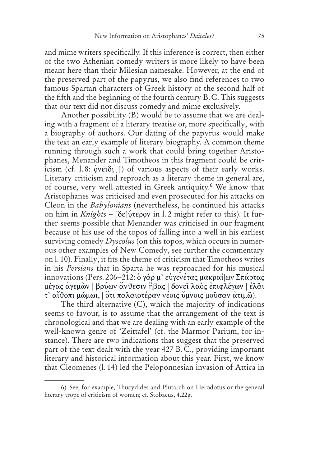and mime writers specifically. If this inference is correct, then either of the two Athenian comedy writers is more likely to have been meant here than their Milesian namesake. However, at the end of the preserved part of the papyrus, we also find references to two famous Spartan characters of Greek history of the second half of the fifth and the beginning of the fourth century B. C. This suggests that our text did not discuss comedy and mime exclusively.

Another possibility (B) would be to assume that we are dealing with a fragment of a literary treatise or, more specifically, with a biography of authors. Our dating of the papyrus would make the text an early example of literary biography. A common theme running through such a work that could bring together Aristophanes, Menander and Timotheos in this fragment could be crit- $\frac{1}{2}$  icism (cf. l. 8:  $\frac{1}{2}$  of various aspects of their early works. Literary criticism and reproach as a literary theme in general are, of course, very well attested in Greek antiquity.<sup>6</sup> We know that Aristophanes was criticised and even prosecuted for his attacks on Cleon in the *Babylonians* (nevertheless, he continued his attacks on him in *Knights* - [δε]ύτερον in l. 2 might refer to this). It further seems possible that Menander was criticised in our fragment because of his use of the topos of falling into a well in his earliest surviving comedy *Dyscolus* (on this topos, which occurs in numerous other examples of New Comedy, see further the commentary on l. 10). Finally, it fits the theme of criticism that Timotheos writes in his *Persians* that in Sparta he was reproached for his musical innovations (Pers. 206-212: ὁ γάρ μ' εὐγενέτας μακραί ων Σπάρτας μέγας άγεμών | βρύων ἄνθεσιν ήβας | δονει λαός επιφλέγων | έλαι τ' αίθοπι μώμωι. | ὅτι παλαιοτέραν νέοις ὕμνοις μοῦσαν ἀτιμῶ).

The third alternative (C), which the majority of indications seems to favour, is to assume that the arrangement of the text is chronological and that we are dealing with an early example of the well-known genre of 'Zeittafel' (cf. the Marmor Parium, for instance). There are two indications that suggest that the preserved part of the text dealt with the year 427 B. C., providing important literary and historical information about this year. First, we know that Cleomenes (l. 14) led the Peloponnesian invasion of Attica in

<sup>6)</sup> See, for example, Thucydides and Plutarch on Herodotus or the general literary trope of criticism of women; cf. Stobaeus, 4.22g.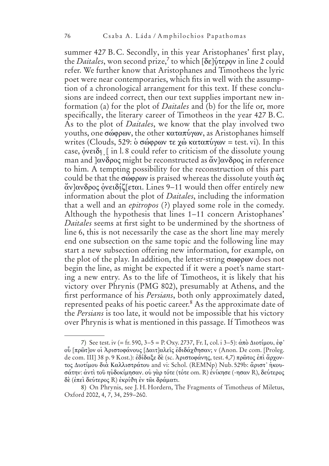summer 427 B.C. Secondly, in this year Aristophanes' first play, the *Daitales*, won second prize,<sup>7</sup> to which [δε]ύτερον in line 2 could refer. We further know that Aristophanes and Timotheos the lyric poet were near contemporaries, which fits in well with the assumption of a chronological arrangement for this text. If these conclusions are indeed correct, then our text supplies important new information (a) for the plot of *Daitales* and (b) for the life or, more specifically, the literary career of Timotheos in the year 427 B. C. As to the plot of *Daitales*, we know that the play involved two youths, one σώφρων, the other καταπύνων, as Aristophanes himself writes (Clouds, 529:  $\delta \sigma \omega \phi \rho \omega \nu \tau \epsilon \chi \omega \sigma \nu \sigma \nu$  = test. vi). In this case, oveton [ in l. 8 could refer to criticism of the dissolute young man and  $\alpha \delta \rho$  might be reconstructed as  $\alpha \delta \nu \alpha \delta \rho$  in reference to him. A tempting possibility for the reconstruction of this part could be that the  $\sigma\omega\varphi\varphi\omega\varphi\chi$  is praised whereas the dissolute youth  $\omega\varsigma$ άν]ανδρος ο νειδίζ[εται. Lines 9–11 would then offer entirely new information about the plot of *Daitales*, including the information that a well and an *epitropos* (?) played some role in the comedy. Although the hypothesis that lines 1–11 concern Aristophanes' *Daitales* seems at first sight to be undermined by the shortness of line 6, this is not necessarily the case as the short line may merely end one subsection on the same topic and the following line may start a new subsection offering new information, for example, on the plot of the play. In addition, the letter-string σωφρων does not begin the line, as might be expected if it were a poet's name starting a new entry. As to the life of Timotheos, it is likely that his victory over Phrynis (PMG 802), presumably at Athens, and the first performance of his *Persians*, both only approximately dated, represented peaks of his poetic career.8 As the approximate date of the *Persians* is too late, it would not be impossible that his victory over Phrynis is what is mentioned in this passage. If Timotheos was

<sup>7)</sup> See test. iv (= fr. 590,  $3-5 = P.$  Oxy. 2737, Fr. I, col. i  $3-5$ ):  $\alpha \pi \dot{\alpha} \Delta \dot{\alpha} \tau \dot{\mu}$ οδ [πρῶτ]ον οι Αριστοφάνους [Δαιτ]αλεῖς ἐδιδάχθησαν; v (Anon. De com. [Proleg. de com. III] 38 p. 9 Kost.): εδίδαξε δε (sc. Αριστοφάνης, test. 4,7) πρῶτος επι ἄρχοντος Διοτίμου δια Καλλιστράτου and vi: Schol. (REMNp) Nub. 529b: ἄριστ' ήκουσάτην: άντὶ τοῦ ηὐδοκίμησαν, οὐ γὰρ τότε (τότε om. R) ἐνίκησε (-ησαν R), δεύτερος δε (έπει δεύτερος R) έκρίθη έν τωι δράματι.

<sup>8)</sup> On Phrynis, see J. H. Hordern, The Fragments of Timotheus of Miletus, Oxford 2002, 4, 7, 34, 259-260.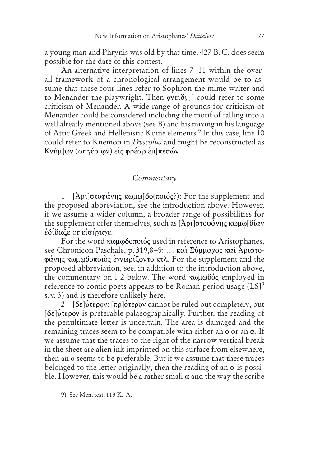a young man and Phrynis was old by that time, 427 B. C. does seem possible for the date of this contest.

An alternative interpretation of lines 7–11 within the overall framework of a chronological arrangement would be to assume that these four lines refer to Sophron the mime writer and to Menander the playwright. Then ονειδι [ could refer to some criticism of Menander. A wide range of grounds for criticism of Menander could be considered including the motif of falling into a well already mentioned above (see B) and his mixing in his language of Attic Greek and Hellenistic Koine elements.<sup>9</sup> In this case, line 10 could refer to Knemon in *Dyscolus* and might be reconstructed as Κνήμ]ων (or γέρ]ων) εἰς φρέαρ ἐμ[πεσών.

## *Commentary*

1 [Ἀρι]στοφάνης κωμω[δο(ποιός?): For the supplement and the proposed abbreviation, see the introduction above. However, if we assume a wider column, a broader range of possibilities for the supplement offer themselves, such as [Ἀρι]στοφάνης κωμω[δίαν εδίδαξε or εισήγαγε.

For the word κωμωδοποιός used in reference to Aristophanes, see Chronicon Paschale, p. 319,8–9: ... καὶ Σύμμαχος καὶ Ἀριστο- $\phi$ άνης κωμωδοποιὸς ἐγνωρίζοντο κτλ. For the supplement and the proposed abbreviation, see, in addition to the introduction above, the commentary on l. 2 below. The word  $\kappa \omega \mu \omega \delta \phi \varsigma$  employed in reference to comic poets appears to be Roman period usage (LSJ<sup>9</sup>) s. v. 3) and is therefore unlikely here.

2 [δε]ύτερον: [πρ]ότερον cannot be ruled out completely, but [δε] ύτερον is preferable palaeographically. Further, the reading of the penultimate letter is uncertain. The area is damaged and the remaining traces seem to be compatible with either an  $o$  or an  $\alpha$ . If we assume that the traces to the right of the narrow vertical break in the sheet are alien ink imprinted on this surface from elsewhere, then an o seems to be preferable. But if we assume that these traces belonged to the letter originally, then the reading of an  $\alpha$  is possible. However, this would be a rather small  $\alpha$  and the way the scribe

<sup>9)</sup> See Men. test. 119 K.-A.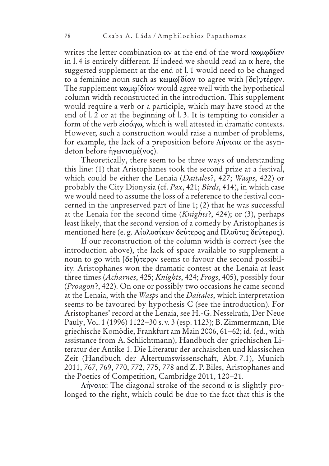writes the letter combination  $\alpha v$  at the end of the word  $\kappa \omega \omega \delta u \omega$ in 1.4 is entirely different. If indeed we should read an  $\alpha$  here, the suggested supplement at the end of l. 1 would need to be changed to a feminine noun such as κωμω[δίαν to agree with [δε]υτέραν. The supplement  $\kappa \omega \mu \omega \delta \alpha v$  would agree well with the hypothetical column width reconstructed in the introduction. This supplement would require a verb or a participle, which may have stood at the end of l. 2 or at the beginning of l. 3. It is tempting to consider a form of the verb  $\epsilon\zeta\sigma\alpha\gamma\omega$ , which is well attested in dramatic contexts. However, such a construction would raise a number of problems, for example, the lack of a preposition before  $\Lambda \hat{\eta}$  value or the asyndeton before *ηγωνισμέ*(νος).

Theoretically, there seem to be three ways of understanding this line: (1) that Aristophanes took the second prize at a festival, which could be either the Lenaia (*Daitales*?, 427; *Wasps*, 422) or probably the City Dionysia (cf. *Pax*, 421; *Birds*, 414), in which case we would need to assume the loss of a reference to the festival concerned in the unpreserved part of line 1; (2) that he was successful at the Lenaia for the second time (*Knights*?, 424); or (3), perhaps least likely, that the second version of a comedy by Aristophanes is mentioned here (e.g. Αἰολοσίκων δεύτερος and Πλοῦτος δεύτερος).

If our reconstruction of the column width is correct (see the introduction above), the lack of space available to supplement a noun to go with [δε]ύτερον seems to favour the second possibility. Aristophanes won the dramatic contest at the Lenaia at least three times (*Acharnes*, 425; *Knights*, 424; *Frogs*, 405), possibly four (*Proagon*?, 422). On one or possibly two occasions he came second at the Lenaia, with the *Wasps* and the *Daitales*, which interpretation seems to be favoured by hypothesis C (see the introduction). For Aristophanes' record at the Lenaia, see H.-G. Nesselrath, Der Neue Pauly, Vol. 1 (1996) 1122 – 30 s. v. 3 (esp. 1123); B. Zimmermann, Die griechische Komödie, Frankfurt am Main 2006, 61-62; id. (ed., with assistance from A. Schlichtmann), Handbuch der griechischen Literatur der Antike 1. Die Literatur der archaischen und klassischen Zeit (Handbuch der Altertumswissenschaft, Abt. 7.1), Munich 2011, 767, 769, 770, 772, 775, 778 and Z. P. Biles, Aristophanes and the Poetics of Competition, Cambridge 2011, 120–21.

 $Ληναια$ : The diagonal stroke of the second  $α$  is slightly prolonged to the right, which could be due to the fact that this is the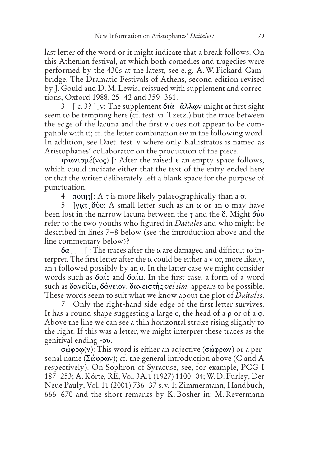last letter of the word or it might indicate that a break follows. On this Athenian festival, at which both comedies and tragedies were performed by the 430s at the latest, see e. g. A. W. Pickard-Cambridge, The Dramatic Festivals of Athens, second edition revised by J. Gould and D. M. Lewis, reissued with supplement and corrections, Oxford 1988, 25–42 and 359–361.

 $3 \left[ c. 3 \right]$  v: The supplement  $\delta t \alpha \mid \alpha \lambda \alpha v$  might at first sight seem to be tempting here (cf. test. vi. Tzetz.) but the trace between the edge of the lacuna and the first v does not appear to be compatible with it; cf. the letter combination  $\omega v$  in the following word. In addition, see Daet. test. v where only Kallistratos is named as Aristophanes' collaborator on the production of the piece.

 $\hat{\eta}$   $\gamma$ ωνισμέ(νος) [: After the raised  $\varepsilon$  an empty space follows, which could indicate either that the text of the entry ended here or that the writer deliberately left a blank space for the purpose of punctuation.

4  $\pi$ oinț[: A $\tau$  is more likely palaeographically than a  $\sigma$ .

5 ]v $\alpha$ T  $\delta$ νο: A small letter such as an  $\alpha$  or an o may have been lost in the narrow lacuna between the  $\bar{\tau}$  and the  $\delta$ . Might  $\delta$ vo refer to the two youths who figured in *Daitales* and who might be described in lines 7–8 below (see the introduction above and the line commentary below)?

 $\delta\alpha_{\dots}$  [ : The traces after the  $\alpha$  are damaged and difficult to interpret. The first letter after the  $\alpha$  could be either a v or, more likely, an a followed possibly by an o. In the latter case we might consider words such as  $\delta \alpha i \varsigma$  and  $\delta \alpha i \omega$ . In the first case, a form of a word such as δανείζω, δάνειον, δανειστής *vel sim.* appears to be possible. These words seem to suit what we know about the plot of *Daitales*.

7 Only the right-hand side edge of the first letter survives. It has a round shape suggesting a large  $\alpha$ , the head of a  $\rho$  or of a  $\varphi$ . Above the line we can see a thin horizontal stroke rising slightly to the right. If this was a letter, we might interpret these traces as the genitival ending -ov.

 $\sigma$ ώφρω(v): This word is either an adjective (σώφρων) or a personal name ( $\Sigma\omega$  $\varphi\varphi\omega$ ); cf. the general introduction above (C and A respectively). On Sophron of Syracuse, see, for example, PCG I 187 – 253; A. Körte, RE, Vol. 3A.1 (1927) 1100 – 04; W. D. Furley, Der Neue Pauly, Vol. 11 (2001) 736 – 37 s. v. 1; Zimmermann, Handbuch, 666 – 670 and the short remarks by K. Bosher in: M. Revermann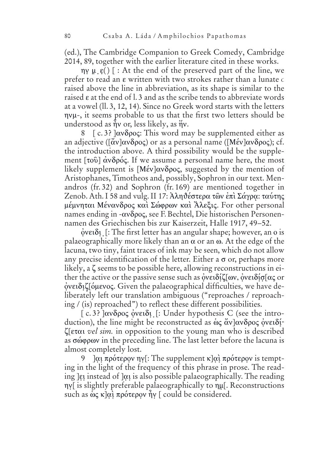(ed.), The Cambridge Companion to Greek Comedy, Cambridge 2014, 89, together with the earlier literature cited in these works.

 $\eta y$   $\mu$   $\epsilon$  ) [ : At the end of the preserved part of the line, we prefer to read an  $\varepsilon$  written with two strokes rather than a lunate  $\epsilon$ raised above the line in abbreviation, as its shape is similar to the raised  $\epsilon$  at the end of l. 3 and as the scribe tends to abbreviate words at a vowel (ll. 3, 12, 14). Since no Greek word starts with the letters  $ηνμ$ -, it seems probable to us that the first two letters should be understood as  $\hat{\eta}$  or, less likely, as  $\hat{\eta}$ .

8  $\int c \cdot 3$ ? ] $\alpha v \delta \rho$ oc: This word may be supplemented either as an adjective ( $\left[\tilde{\alpha}v\right]\alpha v\delta\rho o\varsigma$ ) or as a personal name ( $\left[\text{M\'ev}\right]\alpha v\delta\rho o\varsigma$ ); cf. the introduction above. A third possibility would be the supplement  $\lceil \tau \circ \tilde{\omega} \rceil$   $\alpha \vee \delta \circ \alpha \in \mathcal{S}$ . If we assume a personal name here, the most likely supplement is  $[Mev] \alpha v \delta \rho o \zeta$ , suggested by the mention of Aristophanes, Timotheos and, possibly, Sophron in our text. Menandros (fr. 32) and Sophron (fr. 169) are mentioned together in Zenob. Ath. I 58 and vulg. II 17: Ἀληθέστερα τῶν ἐπὶ Σάγρα: ταύτης μέμνηται Μένανδρος και Σώφρων και Άλεξις. For other personal names ending in  $-\alpha v \delta \rho o \varsigma$ , see F. Bechtel, Die historischen Personennamen des Griechischen bis zur Kaiserzeit, Halle 1917, 49–52.

όνειδι [: The first letter has an angular shape; however, an o is palaeographically more likely than an  $\alpha$  or an  $\omega$ . At the edge of the lacuna, two tiny, faint traces of ink may be seen, which do not allow any precise identification of the letter. Either a  $\sigma$  or, perhaps more likely, a  $\zeta$  seems to be possible here, allowing reconstructions in either the active or the passive sense such as ὀνειδίζ[ων, ὀνειδίσ[ας or ονειδιζ[όμενος. Given the palaeographical difficulties, we have deliberately left our translation ambiguous ("reproaches / reproaching / (is) reproached") to reflect these different possibilities.

[c.3?] ανδρος ονειδι [: Under hypothesis C (see the introduction), the line might be reconstructed as ως άν]ανδρος ονειδίƥ[Ş ƤƳƠƨ *vel sim.* in opposition to the young man who is described as  $\sigma\omega\rho\omega$  in the preceding line. The last letter before the lacuna is almost completely lost.

9 ]αι πρότερον ην[: The supplement κ]αὶ πρότερον is tempting in the light of the frequency of this phrase in prose. The reading Jei instead of Joi is also possible palaeographically. The reading ny[is slightly preferable palaeographically to nµ[. Reconstructions such as ὡς κ]αὶ πρότερον ἦν [ could be considered.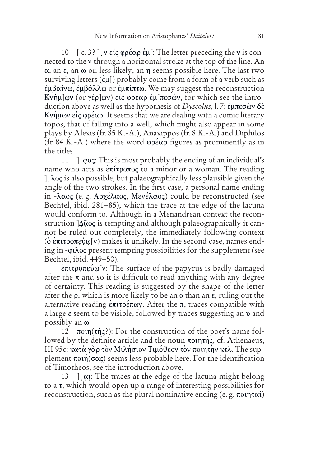10 [c. 3?]  $v \epsilon i \varsigma \varphi \rho \epsilon \alpha \rho \epsilon \mu$ : The letter preceding the v is connected to the v through a horizontal stroke at the top of the line. An  $\alpha$ , an  $\epsilon$ , an  $\omega$  or, less likely, an  $\eta$  seems possible here. The last two surviving letters  $(\dot{\epsilon} \mu)$  probably come from a form of a verb such as  $\dot{\epsilon}$ μβαίνω,  $\dot{\epsilon}$ μβάλλω or  $\dot{\epsilon}$ μπίπτω. We may suggest the reconstruction Kνήμ]ων (or γέρ]ων) εἰς φρέαρ ἐμ[πεσών, for which see the introduction above as well as the hypothesis of *Dyscolus*, l. 7: έμπεσὼν δὲ Kνήμων είς φρέαρ. It seems that we are dealing with a comic literary topos, that of falling into a well, which might also appear in some plays by Alexis (fr. 85 K.-A.), Anaxippos (fr. 8 K.-A.) and Diphilos (fr. 84 K.-A.) where the word  $\varphi \circ \alpha \rho$  figures as prominently as in the titles.

11 ]  $\cos$ : This is most probably the ending of an individual's name who acts as  $\epsilon \pi i\tau \rho \sigma \sigma \sigma \zeta$  to a minor or a woman. The reading ]. Aos is also possible, but palaeographically less plausible given the angle of the two strokes. In the first case, a personal name ending in -λαος (e.g. Aρχέλαος, Μενέλαος) could be reconstructed (see Bechtel, ibid. 281–85), which the trace at the edge of the lacuna would conform to. Although in a Menandrean context the reconstruction ]A@oç is tempting and although palaeographically it cannot be ruled out completely, the immediately following context (o επιτροπεύω[v) makes it unlikely. In the second case, names ending in -φιλος present tempting possibilities for the supplement (see Bechtel, ibid. 449-50).

επιτροπεύω[v: The surface of the papyrus is badly damaged after the  $\pi$  and so it is difficult to read anything with any degree of certainty. This reading is suggested by the shape of the letter after the  $\rho$ , which is more likely to be an  $\alpha$  than an  $\epsilon$ , ruling out the alternative reading ἐπιτρέπων. After the π, traces compatible with a large ε seem to be visible, followed by traces suggesting an v and possibly an  $\omega$ .

12  $\pi$ oun( $\pi$ n $\zeta$ ?): For the construction of the poet's name followed by the definite article and the noun  $\pi$ ounting, cf. Athenaeus, III 95c: κατά γάρ τον Μιλήσιον Τιμόθεον τον ποιητήν κτλ. The supplement  $\pi o \in \pi(\sigma \alpha \varsigma)$  seems less probable here. For the identification of Timotheos, see the introduction above.

13 ]  $\alpha$ u: The traces at the edge of the lacuna might belong to a  $\tau$ , which would open up a range of interesting possibilities for reconstruction, such as the plural nominative ending (e.g.  $\pi$ ountai)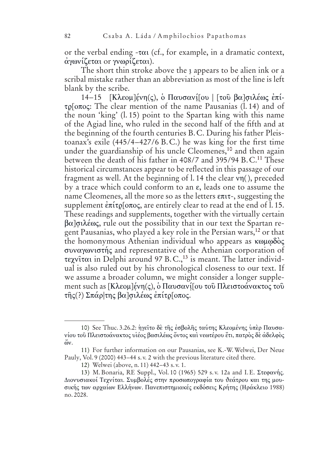or the verbal ending  $-\tau \alpha$  (cf., for example, in a dramatic context, άγωνίζεται or γνωρίζεται).

The short thin stroke above the *y* appears to be alien ink or a scribal mistake rather than an abbreviation as most of the line is left blank by the scribe.

14-15 [Κλεομ]ένη(ς), ο Παυσανί[ου | [του βα]σιλέως επίτρ[οπος: The clear mention of the name Pausanias (l. 14) and of the noun 'king' (l. 15) point to the Spartan king with this name of the Agiad line, who ruled in the second half of the fifth and at the beginning of the fourth centuries B. C. During his father Pleistoanax's exile  $(445/4 - 427/6 \text{ B.C.})$  he was king for the first time under the guardianship of his uncle Cleomenes,<sup>10</sup> and then again between the death of his father in  $408/7$  and  $395/94$  B.C.<sup>11</sup> These historical circumstances appear to be reflected in this passage of our fragment as well. At the beginning of l. 14 the clear  $\nu$ <sup>n</sup>(), preceded by a trace which could conform to an  $\varepsilon$ , leads one to assume the name Cleomenes, all the more so as the letters  $\epsilon \pi \tau$ -, suggesting the supplement  $\epsilon \pi$ ίτρ[οπος, are entirely clear to read at the end of l. 15. These readings and supplements, together with the virtually certain  $\beta$ α]σιλέως, rule out the possibility that in our text the Spartan regent Pausanias, who played a key role in the Persian wars,<sup>12</sup> or that the homonymous Athenian individual who appears as  $\kappa \omega \omega \delta \delta \zeta$ ƲƴƬƠƢƸƬƨƲƳƝƱ and representative of the Athenian corporation of τεχνίται in Delphi around 97 B.C.,<sup>13</sup> is meant. The latter individual is also ruled out by his chronological closeness to our text. If we assume a broader column, we might consider a longer supplement such as [Κλεομ]ένη(ς), ὁ Παυσανί[ου τοῦ Πλειστοάνακτος τοῦ τῆς(?) Σπάρ|της βα]σιλέως ἐπίτρ[οπος.

<sup>10)</sup> See Thuc. 3.26.2: ηγείτο δε της εσβολης ταύτης Κλεομένης υπερ Παυσανίου τοῦ Πλειστοάνακτος υἱέος βασιλέως ὄντος καὶ νεωτέρου ἔτι, πατρὸς δὲ ἀδελφὸς  $\ddot{\omega}$ .

<sup>11)</sup> For further information on our Pausanias, see K.-W. Welwei, Der Neue Pauly, Vol. 9 (2000) 443–44 s.v. 2 with the previous literature cited there.

<sup>12)</sup> Welwei (above, n. 11) 442-43 s.v. 1.

<sup>13)</sup> M. Bonaria, RE Suppl., Vol. 10 (1965) 529 s.v. 12a and I. E. Στεφανής. Διονυσιακοί Τεχνίται. Συμβολές στην προσωπογραφία του θεάτρου και της μουσικής των αργαίων Ελλήνων, Πανεπιστημιακές εκδόσεις Κρήτης (Ηράκλειο 1988) no. 2028.